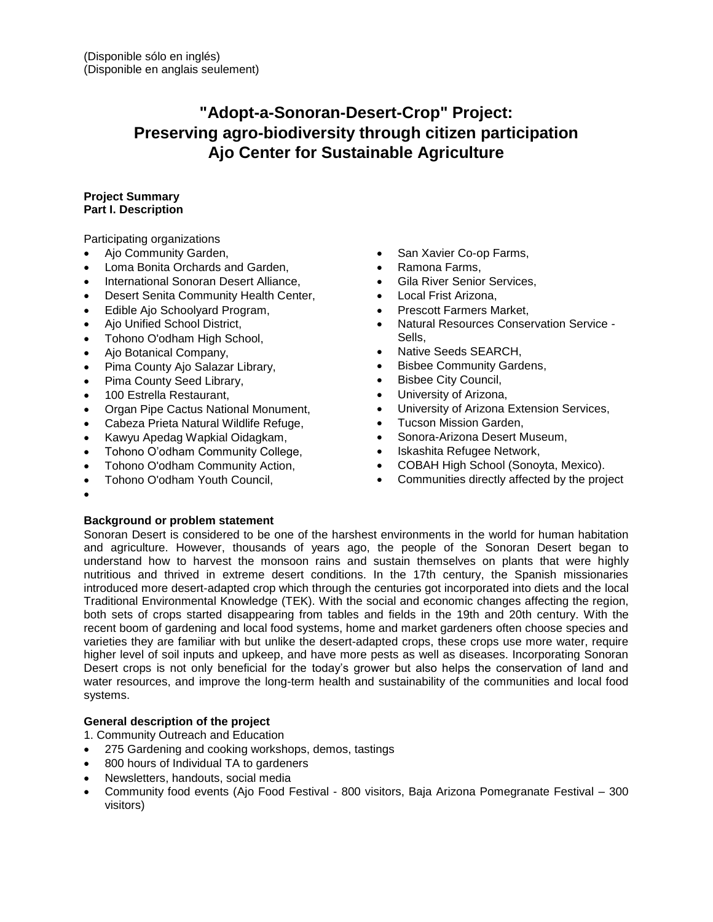# **"Adopt-a-Sonoran-Desert-Crop" Project: Preserving agro-biodiversity through citizen participation Ajo Center for Sustainable Agriculture**

# **Project Summary Part I. Description**

Participating organizations

- Ajo Community Garden,
- Loma Bonita Orchards and Garden,
- International Sonoran Desert Alliance,
- Desert Senita Community Health Center,
- Edible Ajo Schoolyard Program,
- Ajo Unified School District,
- Tohono O'odham High School,
- Ajo Botanical Company,
- Pima County Ajo Salazar Library,
- Pima County Seed Library,
- 100 Estrella Restaurant,
- Organ Pipe Cactus National Monument,
- Cabeza Prieta Natural Wildlife Refuge,
- Kawyu Apedag Wapkial Oidagkam,
- Tohono O'odham Community College,
- Tohono O'odham Community Action,
- Tohono O'odham Youth Council,
- San Xavier Co-op Farms,
- Ramona Farms,
- **Gila River Senior Services,**
- Local Frist Arizona,
- Prescott Farmers Market,
- Natural Resources Conservation Service Sells,
- Native Seeds SEARCH,
- Bisbee Community Gardens,
- Bisbee City Council,
- University of Arizona,
- University of Arizona Extension Services,
- **•** Tucson Mission Garden,
- Sonora-Arizona Desert Museum,
- Iskashita Refugee Network,
- COBAH High School (Sonoyta, Mexico).
- Communities directly affected by the project

 $\bullet$ 

# **Background or problem statement**

Sonoran Desert is considered to be one of the harshest environments in the world for human habitation and agriculture. However, thousands of years ago, the people of the Sonoran Desert began to understand how to harvest the monsoon rains and sustain themselves on plants that were highly nutritious and thrived in extreme desert conditions. In the 17th century, the Spanish missionaries introduced more desert-adapted crop which through the centuries got incorporated into diets and the local Traditional Environmental Knowledge (TEK). With the social and economic changes affecting the region, both sets of crops started disappearing from tables and fields in the 19th and 20th century. With the recent boom of gardening and local food systems, home and market gardeners often choose species and varieties they are familiar with but unlike the desert-adapted crops, these crops use more water, require higher level of soil inputs and upkeep, and have more pests as well as diseases. Incorporating Sonoran Desert crops is not only beneficial for the today's grower but also helps the conservation of land and water resources, and improve the long-term health and sustainability of the communities and local food systems.

# **General description of the project**

1. Community Outreach and Education

- 275 Gardening and cooking workshops, demos, tastings
- 800 hours of Individual TA to gardeners
- Newsletters, handouts, social media
- Community food events (Ajo Food Festival 800 visitors, Baja Arizona Pomegranate Festival 300 visitors)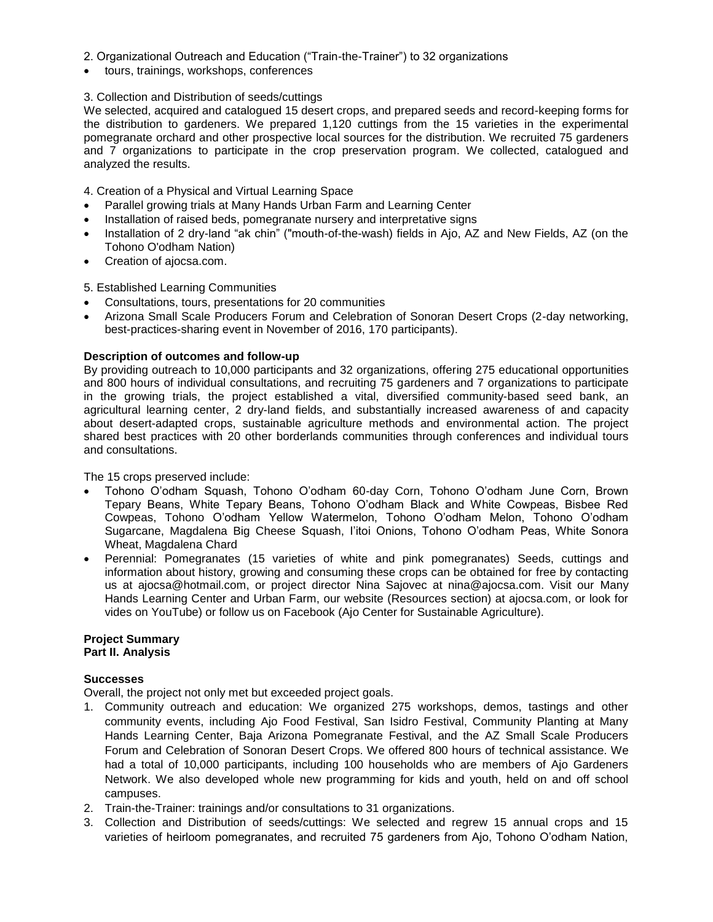- 2. Organizational Outreach and Education ("Train-the-Trainer") to 32 organizations
- tours, trainings, workshops, conferences

# 3. Collection and Distribution of seeds/cuttings

We selected, acquired and catalogued 15 desert crops, and prepared seeds and record-keeping forms for the distribution to gardeners. We prepared 1,120 cuttings from the 15 varieties in the experimental pomegranate orchard and other prospective local sources for the distribution. We recruited 75 gardeners and 7 organizations to participate in the crop preservation program. We collected, catalogued and analyzed the results.

4. Creation of a Physical and Virtual Learning Space

- Parallel growing trials at Many Hands Urban Farm and Learning Center
- Installation of raised beds, pomegranate nursery and interpretative signs
- Installation of 2 dry-land "ak chin" ("mouth-of-the-wash) fields in Ajo, AZ and New Fields, AZ (on the Tohono O'odham Nation)
- Creation of ajocsa.com.

# 5. Established Learning Communities

- Consultations, tours, presentations for 20 communities
- Arizona Small Scale Producers Forum and Celebration of Sonoran Desert Crops (2-day networking, best-practices-sharing event in November of 2016, 170 participants).

# **Description of outcomes and follow-up**

By providing outreach to 10,000 participants and 32 organizations, offering 275 educational opportunities and 800 hours of individual consultations, and recruiting 75 gardeners and 7 organizations to participate in the growing trials, the project established a vital, diversified community-based seed bank, an agricultural learning center, 2 dry-land fields, and substantially increased awareness of and capacity about desert-adapted crops, sustainable agriculture methods and environmental action. The project shared best practices with 20 other borderlands communities through conferences and individual tours and consultations.

The 15 crops preserved include:

- Tohono O'odham Squash, Tohono O'odham 60-day Corn, Tohono O'odham June Corn, Brown Tepary Beans, White Tepary Beans, Tohono O'odham Black and White Cowpeas, Bisbee Red Cowpeas, Tohono O'odham Yellow Watermelon, Tohono O'odham Melon, Tohono O'odham Sugarcane, Magdalena Big Cheese Squash, I'itoi Onions, Tohono O'odham Peas, White Sonora Wheat, Magdalena Chard
- Perennial: Pomegranates (15 varieties of white and pink pomegranates) Seeds, cuttings and information about history, growing and consuming these crops can be obtained for free by contacting us at ajocsa@hotmail.com, or project director Nina Sajovec at nina@ajocsa.com. Visit our Many Hands Learning Center and Urban Farm, our website (Resources section) at ajocsa.com, or look for vides on YouTube) or follow us on Facebook (Ajo Center for Sustainable Agriculture).

#### **Project Summary Part II. Analysis**

#### **Successes**

Overall, the project not only met but exceeded project goals.

- 1. Community outreach and education: We organized 275 workshops, demos, tastings and other community events, including Ajo Food Festival, San Isidro Festival, Community Planting at Many Hands Learning Center, Baja Arizona Pomegranate Festival, and the AZ Small Scale Producers Forum and Celebration of Sonoran Desert Crops. We offered 800 hours of technical assistance. We had a total of 10,000 participants, including 100 households who are members of Ajo Gardeners Network. We also developed whole new programming for kids and youth, held on and off school campuses.
- 2. Train-the-Trainer: trainings and/or consultations to 31 organizations.
- 3. Collection and Distribution of seeds/cuttings: We selected and regrew 15 annual crops and 15 varieties of heirloom pomegranates, and recruited 75 gardeners from Ajo, Tohono O'odham Nation,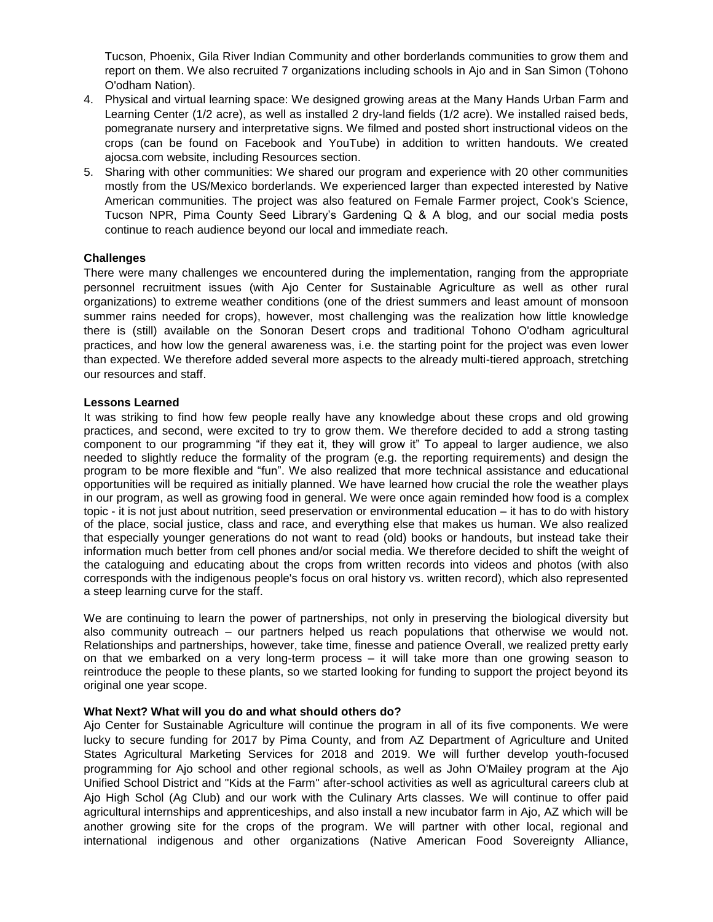Tucson, Phoenix, Gila River Indian Community and other borderlands communities to grow them and report on them. We also recruited 7 organizations including schools in Ajo and in San Simon (Tohono O'odham Nation).

- 4. Physical and virtual learning space: We designed growing areas at the Many Hands Urban Farm and Learning Center (1/2 acre), as well as installed 2 dry-land fields (1/2 acre). We installed raised beds, pomegranate nursery and interpretative signs. We filmed and posted short instructional videos on the crops (can be found on Facebook and YouTube) in addition to written handouts. We created ajocsa.com website, including Resources section.
- 5. Sharing with other communities: We shared our program and experience with 20 other communities mostly from the US/Mexico borderlands. We experienced larger than expected interested by Native American communities. The project was also featured on Female Farmer project, Cook's Science, Tucson NPR, Pima County Seed Library's Gardening Q & A blog, and our social media posts continue to reach audience beyond our local and immediate reach.

# **Challenges**

There were many challenges we encountered during the implementation, ranging from the appropriate personnel recruitment issues (with Ajo Center for Sustainable Agriculture as well as other rural organizations) to extreme weather conditions (one of the driest summers and least amount of monsoon summer rains needed for crops), however, most challenging was the realization how little knowledge there is (still) available on the Sonoran Desert crops and traditional Tohono O'odham agricultural practices, and how low the general awareness was, i.e. the starting point for the project was even lower than expected. We therefore added several more aspects to the already multi-tiered approach, stretching our resources and staff.

#### **Lessons Learned**

It was striking to find how few people really have any knowledge about these crops and old growing practices, and second, were excited to try to grow them. We therefore decided to add a strong tasting component to our programming "if they eat it, they will grow it" To appeal to larger audience, we also needed to slightly reduce the formality of the program (e.g. the reporting requirements) and design the program to be more flexible and "fun". We also realized that more technical assistance and educational opportunities will be required as initially planned. We have learned how crucial the role the weather plays in our program, as well as growing food in general. We were once again reminded how food is a complex topic - it is not just about nutrition, seed preservation or environmental education – it has to do with history of the place, social justice, class and race, and everything else that makes us human. We also realized that especially younger generations do not want to read (old) books or handouts, but instead take their information much better from cell phones and/or social media. We therefore decided to shift the weight of the cataloguing and educating about the crops from written records into videos and photos (with also corresponds with the indigenous people's focus on oral history vs. written record), which also represented a steep learning curve for the staff.

We are continuing to learn the power of partnerships, not only in preserving the biological diversity but also community outreach – our partners helped us reach populations that otherwise we would not. Relationships and partnerships, however, take time, finesse and patience Overall, we realized pretty early on that we embarked on a very long-term process – it will take more than one growing season to reintroduce the people to these plants, so we started looking for funding to support the project beyond its original one year scope.

#### **What Next? What will you do and what should others do?**

Ajo Center for Sustainable Agriculture will continue the program in all of its five components. We were lucky to secure funding for 2017 by Pima County, and from AZ Department of Agriculture and United States Agricultural Marketing Services for 2018 and 2019. We will further develop youth-focused programming for Ajo school and other regional schools, as well as John O'Mailey program at the Ajo Unified School District and "Kids at the Farm" after-school activities as well as agricultural careers club at Ajo High Schol (Ag Club) and our work with the Culinary Arts classes. We will continue to offer paid agricultural internships and apprenticeships, and also install a new incubator farm in Ajo, AZ which will be another growing site for the crops of the program. We will partner with other local, regional and international indigenous and other organizations (Native American Food Sovereignty Alliance,